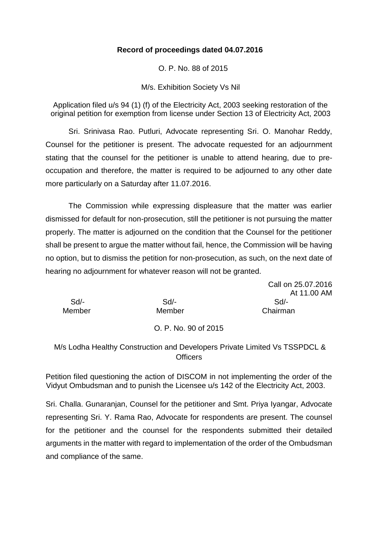## **Record of proceedings dated 04.07.2016**

O. P. No. 88 of 2015

M/s. Exhibition Society Vs Nil

Application filed u/s 94 (1) (f) of the Electricity Act, 2003 seeking restoration of the original petition for exemption from license under Section 13 of Electricity Act, 2003

Sri. Srinivasa Rao. Putluri, Advocate representing Sri. O. Manohar Reddy, Counsel for the petitioner is present. The advocate requested for an adjournment stating that the counsel for the petitioner is unable to attend hearing, due to preoccupation and therefore, the matter is required to be adjourned to any other date more particularly on a Saturday after 11.07.2016.

The Commission while expressing displeasure that the matter was earlier dismissed for default for non-prosecution, still the petitioner is not pursuing the matter properly. The matter is adjourned on the condition that the Counsel for the petitioner shall be present to argue the matter without fail, hence, the Commission will be having no option, but to dismiss the petition for non-prosecution, as such, on the next date of hearing no adjournment for whatever reason will not be granted.

|        |        | Call on 25.07.2016 |
|--------|--------|--------------------|
|        |        | At 11.00 AM        |
| $Sd$ - | $Sd$ - | Sd                 |
| Member | Member | Chairman           |
|        |        |                    |

#### O. P. No. 90 of 2015

# M/s Lodha Healthy Construction and Developers Private Limited Vs TSSPDCL & **Officers**

Petition filed questioning the action of DISCOM in not implementing the order of the Vidyut Ombudsman and to punish the Licensee u/s 142 of the Electricity Act, 2003.

Sri. Challa. Gunaranjan, Counsel for the petitioner and Smt. Priya Iyangar, Advocate representing Sri. Y. Rama Rao, Advocate for respondents are present. The counsel for the petitioner and the counsel for the respondents submitted their detailed arguments in the matter with regard to implementation of the order of the Ombudsman and compliance of the same.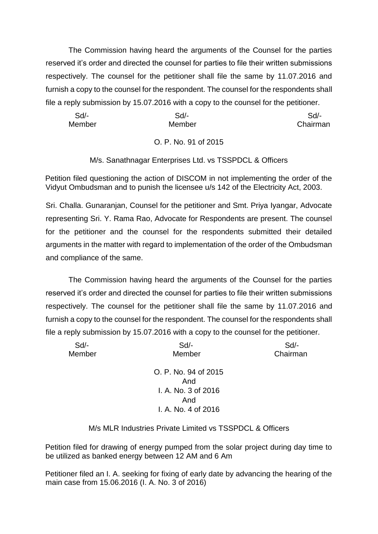The Commission having heard the arguments of the Counsel for the parties reserved it's order and directed the counsel for parties to file their written submissions respectively. The counsel for the petitioner shall file the same by 11.07.2016 and furnish a copy to the counsel for the respondent. The counsel for the respondents shall file a reply submission by 15.07.2016 with a copy to the counsel for the petitioner.

| Sd/-   | Sd/-   | Sd/-     |
|--------|--------|----------|
| Member | Member | Chairman |

# O. P. No. 91 of 2015

# M/s. Sanathnagar Enterprises Ltd. vs TSSPDCL & Officers

Petition filed questioning the action of DISCOM in not implementing the order of the Vidyut Ombudsman and to punish the licensee u/s 142 of the Electricity Act, 2003.

Sri. Challa. Gunaranjan, Counsel for the petitioner and Smt. Priya Iyangar, Advocate representing Sri. Y. Rama Rao, Advocate for Respondents are present. The counsel for the petitioner and the counsel for the respondents submitted their detailed arguments in the matter with regard to implementation of the order of the Ombudsman and compliance of the same.

The Commission having heard the arguments of the Counsel for the parties reserved it's order and directed the counsel for parties to file their written submissions respectively. The counsel for the petitioner shall file the same by 11.07.2016 and furnish a copy to the counsel for the respondent. The counsel for the respondents shall file a reply submission by 15.07.2016 with a copy to the counsel for the petitioner.

| Sd     | Sd                   | Sd       |
|--------|----------------------|----------|
| Member | Member               | Chairman |
|        | O. P. No. 94 of 2015 |          |
|        | And                  |          |
|        | I. A. No. 3 of 2016  |          |
|        | And                  |          |
|        | I. A. No. 4 of 2016  |          |
|        |                      |          |

## M/s MLR Industries Private Limited vs TSSPDCL & Officers

Petition filed for drawing of energy pumped from the solar project during day time to be utilized as banked energy between 12 AM and 6 Am

Petitioner filed an I. A. seeking for fixing of early date by advancing the hearing of the main case from 15.06.2016 (I. A. No. 3 of 2016)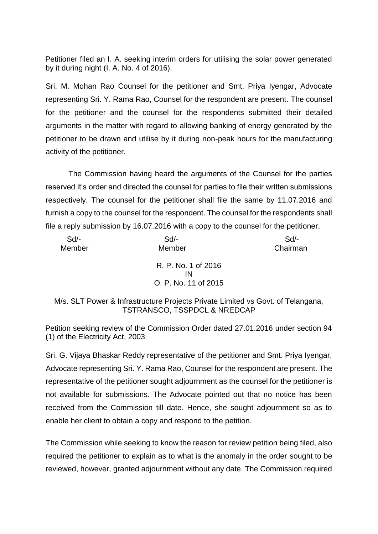Petitioner filed an I. A. seeking interim orders for utilising the solar power generated by it during night (I. A. No. 4 of 2016).

Sri. M. Mohan Rao Counsel for the petitioner and Smt. Priya Iyengar, Advocate representing Sri. Y. Rama Rao, Counsel for the respondent are present. The counsel for the petitioner and the counsel for the respondents submitted their detailed arguments in the matter with regard to allowing banking of energy generated by the petitioner to be drawn and utilise by it during non-peak hours for the manufacturing activity of the petitioner.

The Commission having heard the arguments of the Counsel for the parties reserved it's order and directed the counsel for parties to file their written submissions respectively. The counsel for the petitioner shall file the same by 11.07.2016 and furnish a copy to the counsel for the respondent. The counsel for the respondents shall file a reply submission by 16.07.2016 with a copy to the counsel for the petitioner.

| $Sd$ - | $Sd$ -               | Sd       |
|--------|----------------------|----------|
| Member | Member               | Chairman |
|        | R. P. No. 1 of 2016  |          |
|        | ΙN                   |          |
|        | O. P. No. 11 of 2015 |          |

M/s. SLT Power & Infrastructure Projects Private Limited vs Govt. of Telangana, TSTRANSCO, TSSPDCL & NREDCAP

Petition seeking review of the Commission Order dated 27.01.2016 under section 94 (1) of the Electricity Act, 2003.

Sri. G. Vijaya Bhaskar Reddy representative of the petitioner and Smt. Priya Iyengar, Advocate representing Sri. Y. Rama Rao, Counsel for the respondent are present. The representative of the petitioner sought adjournment as the counsel for the petitioner is not available for submissions. The Advocate pointed out that no notice has been received from the Commission till date. Hence, she sought adjournment so as to enable her client to obtain a copy and respond to the petition.

The Commission while seeking to know the reason for review petition being filed, also required the petitioner to explain as to what is the anomaly in the order sought to be reviewed, however, granted adjournment without any date. The Commission required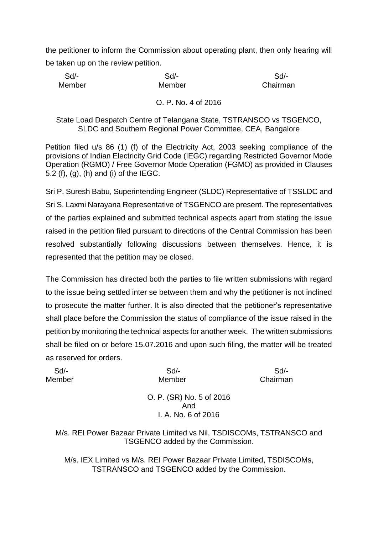the petitioner to inform the Commission about operating plant, then only hearing will be taken up on the review petition.

| $Sd$ - | Sd/-   | Sd       |
|--------|--------|----------|
| Member | Member | Chairman |

### O. P. No. 4 of 2016

### State Load Despatch Centre of Telangana State, TSTRANSCO vs TSGENCO, SLDC and Southern Regional Power Committee, CEA, Bangalore

Petition filed u/s 86 (1) (f) of the Electricity Act, 2003 seeking compliance of the provisions of Indian Electricity Grid Code (IEGC) regarding Restricted Governor Mode Operation (RGMO) / Free Governor Mode Operation (FGMO) as provided in Clauses 5.2 (f), (g), (h) and (i) of the IEGC.

Sri P. Suresh Babu, Superintending Engineer (SLDC) Representative of TSSLDC and Sri S. Laxmi Narayana Representative of TSGENCO are present. The representatives of the parties explained and submitted technical aspects apart from stating the issue raised in the petition filed pursuant to directions of the Central Commission has been resolved substantially following discussions between themselves. Hence, it is represented that the petition may be closed.

The Commission has directed both the parties to file written submissions with regard to the issue being settled inter se between them and why the petitioner is not inclined to prosecute the matter further. It is also directed that the petitioner's representative shall place before the Commission the status of compliance of the issue raised in the petition by monitoring the technical aspects for another week. The written submissions shall be filed on or before 15.07.2016 and upon such filing, the matter will be treated as reserved for orders.

| $Sd$ - | $Sd$ -                   | $Sd$ -   |
|--------|--------------------------|----------|
| Member | Member                   | Chairman |
|        |                          |          |
|        | O. P. (SR) No. 5 of 2016 |          |
|        | And                      |          |
|        | I. A. No. 6 of 2016      |          |
|        |                          |          |
|        |                          |          |

M/s. REI Power Bazaar Private Limited vs Nil, TSDISCOMs, TSTRANSCO and TSGENCO added by the Commission.

M/s. IEX Limited vs M/s. REI Power Bazaar Private Limited, TSDISCOMs, TSTRANSCO and TSGENCO added by the Commission.